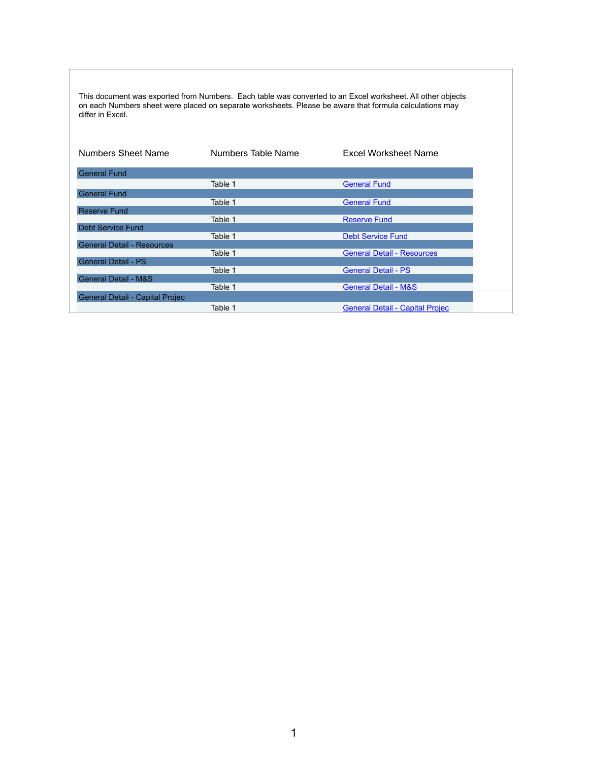This document was exported from Numbers. Each table was converted to an Excel worksheet. All other objects on each Numbers sheet were placed on separate worksheets. Please be aware that formula calculations may differ in Excel.

| Numbers Sheet Name                | Numbers Table Name | <b>Excel Worksheet Name</b>            |
|-----------------------------------|--------------------|----------------------------------------|
| <b>General Fund</b>               |                    |                                        |
|                                   | Table 1            | <b>General Fund</b>                    |
| <b>General Fund</b>               |                    |                                        |
|                                   | Table 1            | <b>General Fund</b>                    |
| <b>Reserve Fund</b>               |                    |                                        |
|                                   | Table 1            | <b>Reserve Fund</b>                    |
| <b>Debt Service Fund</b>          |                    |                                        |
|                                   | Table 1            | <b>Debt Service Fund</b>               |
| <b>General Detail - Resources</b> |                    |                                        |
|                                   | Table 1            | <b>General Detail - Resources</b>      |
| <b>General Detail - PS</b>        |                    |                                        |
|                                   | Table 1            | <b>General Detail - PS</b>             |
| <b>General Detail - M&amp;S</b>   |                    |                                        |
|                                   | Table 1            | <b>General Detail - M&amp;S</b>        |
| General Detail - Capital Projec   |                    |                                        |
|                                   | Table 1            | <b>General Detail - Capital Projec</b> |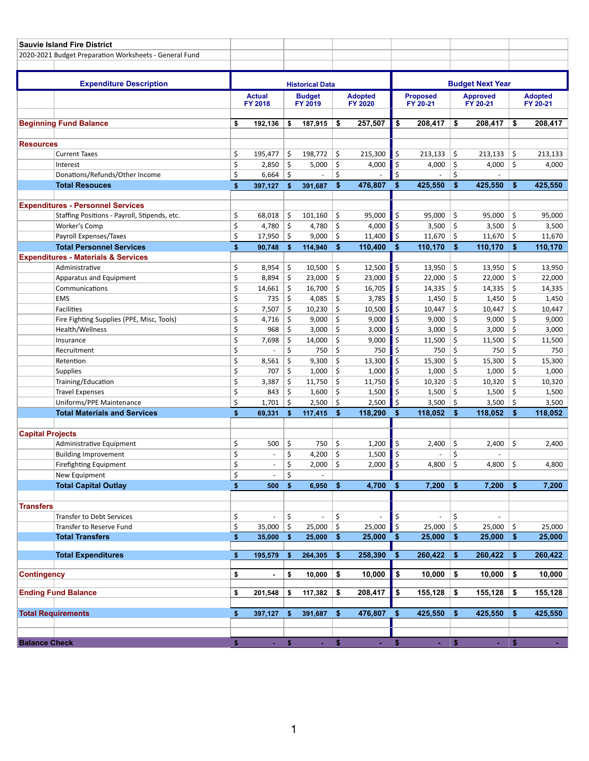<span id="page-1-0"></span>

|                         | <b>Sauvie Island Fire District</b>                              |                        |                                 |             |                          |                    |                                  |                         |                             |              |                             |          |                            |
|-------------------------|-----------------------------------------------------------------|------------------------|---------------------------------|-------------|--------------------------|--------------------|----------------------------------|-------------------------|-----------------------------|--------------|-----------------------------|----------|----------------------------|
|                         | 2020-2021 Budget Preparation Worksheets - General Fund          |                        |                                 |             |                          |                    |                                  |                         |                             |              |                             |          |                            |
|                         |                                                                 |                        |                                 |             |                          |                    |                                  |                         |                             |              |                             |          |                            |
|                         | <b>Expenditure Description</b>                                  | <b>Historical Data</b> |                                 |             |                          |                    |                                  | <b>Budget Next Year</b> |                             |              |                             |          |                            |
|                         |                                                                 |                        | <b>Actual</b><br><b>FY 2018</b> |             | <b>Budget</b><br>FY 2019 |                    | <b>Adopted</b><br><b>FY 2020</b> |                         | <b>Proposed</b><br>FY 20-21 |              | <b>Approved</b><br>FY 20-21 |          | <b>Adopted</b><br>FY 20-21 |
|                         |                                                                 |                        |                                 |             |                          |                    |                                  |                         |                             |              |                             |          |                            |
|                         | <b>Beginning Fund Balance</b>                                   | \$                     | 192,136                         | \$          | 187,915                  | \$                 | 257,507                          | \$                      | 208,417                     | \$           | 208,417                     | \$       | 208,417                    |
|                         |                                                                 |                        |                                 |             |                          |                    |                                  |                         |                             |              |                             |          |                            |
| <b>Resources</b>        | <b>Current Taxes</b>                                            | \$                     | 195,477                         | \$          | 198,772                  | \$                 | 215,300                          | \$                      | 213,133                     | \$           | 213,133                     | \$       | 213,133                    |
|                         | Interest                                                        | \$                     | 2,850                           | \$          | 5,000                    | \$                 | 4,000                            | \$                      | 4,000                       | \$           | 4,000                       | \$       | 4,000                      |
|                         | Donations/Refunds/Other Income                                  | \$                     | 6,664                           | \$          | ÷.                       | \$                 |                                  | \$                      |                             | \$           |                             |          |                            |
|                         | <b>Total Resouces</b>                                           | \$                     | 397,127                         | \$          | 391,687                  | \$                 | 476,807                          | \$                      | 425,550                     | \$           | 425,550                     | \$       | 425,550                    |
|                         |                                                                 |                        |                                 |             |                          |                    |                                  |                         |                             |              |                             |          |                            |
|                         | <b>Expenditures - Personnel Services</b>                        |                        |                                 |             |                          |                    |                                  |                         |                             |              |                             |          |                            |
|                         | Staffing Positions - Payroll, Stipends, etc.                    | \$                     | 68,018                          | \$          | 101,160                  | \$                 | 95,000                           | \$                      | 95,000                      | \$           | 95,000                      | \$       | 95,000                     |
|                         | <b>Worker's Comp</b>                                            | \$                     | 4,780                           | \$          | 4,780                    | \$                 | 4,000                            | \$                      | 3,500                       | \$           | 3,500                       | \$       | 3,500                      |
|                         | Payroll Expenses/Taxes                                          | \$                     | 17,950                          | \$          | 9,000                    | \$                 | 11,400                           | \$                      | 11,670                      | \$           | 11,670                      | \$       | 11,670                     |
|                         | <b>Total Personnel Services</b>                                 | \$                     | 90,748                          | \$          | 114,940                  | \$                 | 110,400                          | \$                      | 110,170                     | \$           | 110,170                     | \$       | 110,170                    |
|                         | <b>Expenditures - Materials &amp; Services</b>                  |                        |                                 |             |                          |                    |                                  |                         |                             |              |                             |          |                            |
|                         | Administrative                                                  | \$                     | 8,954                           | \$          | 10,500                   | \$                 | 12,500                           | \$                      | 13,950                      | \$           | 13,950                      | \$       | 13,950                     |
|                         | Apparatus and Equipment                                         | \$                     | 8,894                           | \$          | 23,000                   | \$                 | 23,000                           | \$                      | 22,000                      | \$           | 22,000                      | \$       | 22,000                     |
|                         | Communications                                                  | \$                     | 14,661                          | \$          | 16,700                   | \$                 | 16,705                           | \$                      | 14,335                      | \$           | 14,335                      | \$       | 14,335                     |
|                         | <b>EMS</b>                                                      | \$                     | 735                             | \$          | 4,085                    | \$                 | 3,785                            | \$                      | 1,450                       | \$           | 1,450                       | \$       | 1,450                      |
|                         | <b>Facilities</b>                                               | \$                     | 7,507                           | \$          | 10,230                   | \$                 | 10,500                           | \$                      | 10,447                      | \$           | 10,447                      | \$       | 10,447                     |
|                         | Fire Fighting Supplies (PPE, Misc, Tools)                       | \$                     | 4,716                           | \$          | 9,000                    | \$                 | 9,000                            | \$                      | 9,000                       | \$           | 9,000                       | \$       | 9,000                      |
|                         | Health/Wellness                                                 | \$                     | 968                             | \$          | 3,000                    | \$                 | 3,000                            | \$                      | 3,000                       | \$           | 3,000                       | \$       | 3,000                      |
|                         | Insurance                                                       | \$                     | 7,698                           | \$          | 14,000                   | \$                 | 9,000                            | \$                      | 11,500                      | \$           | 11,500                      | \$       | 11,500                     |
|                         | Recruitment                                                     | \$                     |                                 | \$          | 750                      | \$                 | 750                              | \$                      | 750                         | \$           | 750                         | \$       | 750                        |
|                         | Retention                                                       | \$                     | 8,561                           | \$          | 9,300                    | \$                 | 13,300                           | \$                      | 15,300                      | \$           | 15,300                      | \$       | 15,300                     |
|                         | <b>Supplies</b>                                                 | \$                     | 707                             | \$          | 1,000                    | \$                 | 1,000                            | \$                      | 1,000                       | \$           | 1,000                       | \$       | 1,000                      |
|                         | Training/Education                                              | \$                     | 3,387                           | \$          | 11,750                   | \$                 | 11,750                           | \$                      | 10,320                      | \$           | 10,320                      | \$       | 10,320                     |
|                         | <b>Travel Expenses</b>                                          | \$                     | 843                             | \$          | 1,600                    | \$                 | 1,500                            | \$                      | 1,500                       | \$           | 1,500                       | \$       | 1,500                      |
|                         | Uniforms/PPE Maintenance<br><b>Total Materials and Services</b> | \$                     | 1,701                           | \$          | 2,500                    | \$<br>$\mathbf{s}$ | 2,500<br>118,290                 | \$<br>\$                | 3,500                       | \$<br>\$     | 3,500                       | \$<br>\$ | 3,500                      |
|                         |                                                                 | \$                     | 69,331                          | \$          | 117,415                  |                    |                                  |                         | 118,052                     |              | 118,052                     |          | 118,052                    |
| <b>Capital Projects</b> |                                                                 |                        |                                 |             |                          |                    |                                  |                         |                             |              |                             |          |                            |
|                         | Administrative Equipment                                        | \$                     | 500                             | \$          | 750                      | \$                 | 1,200                            | \$                      | 2,400                       | \$           | 2,400                       | \$       | 2,400                      |
|                         | <b>Building Improvement</b>                                     | \$                     | $\overline{\phantom{a}}$        | \$          | 4,200                    | \$                 | 1,500                            | \$                      |                             | \$           |                             |          |                            |
|                         | Firefighting Equipment                                          | Ś                      |                                 | \$          | 2,000                    | Ś                  | 2,000                            | $\mathsf{\dot{S}}$      | 4,800                       | \$           | 4,800                       | \$       | 4,800                      |
|                         | New Equipment                                                   | \$                     | $\overline{\phantom{a}}$        | \$          | $\overline{\phantom{a}}$ |                    |                                  |                         |                             |              |                             |          |                            |
|                         | <b>Total Capital Outlay</b>                                     | \$                     | 500                             | \$          | 6,950                    | \$                 | 4,700                            | \$                      | 7,200                       | \$           | 7,200                       | \$       | 7,200                      |
|                         |                                                                 |                        |                                 |             |                          |                    |                                  |                         |                             |              |                             |          |                            |
| <b>Transfers</b>        | <b>Transfer to Debt Services</b>                                | \$                     |                                 | \$          |                          | \$                 |                                  |                         |                             | \$           |                             |          |                            |
|                         | Transfer to Reserve Fund                                        | \$                     | 35,000                          | \$          | 25,000                   | \$                 | 25,000                           | \$<br>\$                | 25,000                      | \$           | 25,000                      | \$       | 25,000                     |
|                         | <b>Total Transfers</b>                                          | \$                     | 35,000                          | \$          | 25,000                   | \$                 | 25,000                           | \$                      | 25,000                      | \$           | 25,000                      | \$       | 25,000                     |
|                         |                                                                 |                        |                                 |             |                          |                    |                                  |                         |                             |              |                             |          |                            |
|                         | <b>Total Expenditures</b>                                       | \$                     | 195,579                         | \$          | 264,305                  | \$                 | 258,390                          | \$                      | 260,422                     | \$           | 260,422                     | \$       | 260,422                    |
| <b>Contingency</b>      |                                                                 | \$                     | $\blacksquare$                  | \$          | 10,000                   | \$                 | 10,000                           | \$                      | 10,000                      | \$           | 10,000                      | \$       | 10,000                     |
|                         |                                                                 |                        |                                 |             |                          |                    |                                  |                         |                             |              |                             |          |                            |
|                         | <b>Ending Fund Balance</b>                                      | \$                     | 201,548                         | \$          | 117,382                  | \$                 | 208,417                          | \$                      | 155,128                     | \$           | 155,128                     | \$       | 155,128                    |
|                         | <b>Total Requirements</b>                                       | \$                     | 397,127                         | $$^{\circ}$ | 391,687                  | \$                 | 476,807                          | \$                      | 425,550                     | \$           | 425,550                     | \$       | 425,550                    |
|                         |                                                                 |                        |                                 |             |                          |                    |                                  |                         |                             |              |                             |          |                            |
| <b>Balance Check</b>    |                                                                 | $\mathsf{s}$           | $\Delta \sim 100$               | S           | $\omega$                 | $\mathbf{s}$       | ×.                               | \$                      | ×.                          | $\mathsf{I}$ | a.                          | l s      |                            |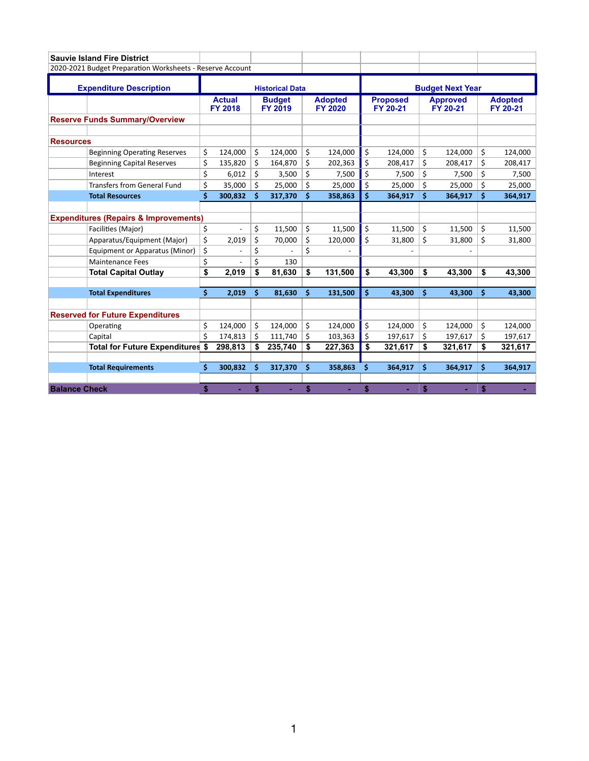<span id="page-2-0"></span>

|                      | <b>Sauvie Island Fire District</b>                        |                        |                                 |    |                                 |                                  |         |                             |         |                             |         |    |                            |  |
|----------------------|-----------------------------------------------------------|------------------------|---------------------------------|----|---------------------------------|----------------------------------|---------|-----------------------------|---------|-----------------------------|---------|----|----------------------------|--|
|                      | 2020-2021 Budget Preparation Worksheets - Reserve Account |                        |                                 |    |                                 |                                  |         |                             |         |                             |         |    |                            |  |
|                      | <b>Expenditure Description</b>                            | <b>Historical Data</b> |                                 |    |                                 |                                  |         | <b>Budget Next Year</b>     |         |                             |         |    |                            |  |
|                      |                                                           |                        | <b>Actual</b><br><b>FY 2018</b> |    | <b>Budget</b><br><b>FY 2019</b> | <b>Adopted</b><br><b>FY 2020</b> |         | <b>Proposed</b><br>FY 20-21 |         | <b>Approved</b><br>FY 20-21 |         |    | <b>Adopted</b><br>FY 20-21 |  |
|                      | <b>Reserve Funds Summary/Overview</b>                     |                        |                                 |    |                                 |                                  |         |                             |         |                             |         |    |                            |  |
| <b>Resources</b>     |                                                           |                        |                                 |    |                                 |                                  |         |                             |         |                             |         |    |                            |  |
|                      | <b>Beginning Operating Reserves</b>                       | \$                     | 124,000                         | \$ | 124,000                         | \$                               | 124,000 | \$                          | 124,000 | \$                          | 124,000 | \$ | 124,000                    |  |
|                      | <b>Beginning Capital Reserves</b>                         | \$                     | 135,820                         | \$ | 164,870                         | \$                               | 202,363 | \$                          | 208,417 | \$                          | 208,417 | \$ | 208,417                    |  |
|                      | Interest                                                  | \$                     | 6,012                           | \$ | 3,500                           | \$                               | 7,500   | \$                          | 7,500   | \$                          | 7,500   | Ś  | 7,500                      |  |
|                      | <b>Transfers from General Fund</b>                        | \$                     | 35,000                          | \$ | 25,000                          | Ś                                | 25,000  | Ś                           | 25,000  | Ś                           | 25,000  | Ś  | 25,000                     |  |
|                      | <b>Total Resources</b>                                    | \$                     | 300,832                         | Ś  | 317,370                         | Ś                                | 358,863 | Ś                           | 364,917 | Ś                           | 364,917 | Ś  | 364,917                    |  |
|                      |                                                           |                        |                                 |    |                                 |                                  |         |                             |         |                             |         |    |                            |  |
|                      | <b>Expenditures (Repairs &amp; Improvements)</b>          |                        |                                 |    |                                 |                                  |         |                             |         |                             |         |    |                            |  |
|                      | Facilities (Major)                                        | \$                     |                                 | \$ | 11.500                          | \$                               | 11,500  | \$                          | 11,500  | \$                          | 11,500  | Ś  | 11,500                     |  |
|                      | Apparatus/Equipment (Major)                               | \$                     | 2,019                           | \$ | 70,000                          | \$                               | 120,000 | Ś                           | 31,800  | Ś                           | 31,800  | Ś  | 31,800                     |  |
|                      | Equipment or Apparatus (Minor)                            | \$                     |                                 | \$ |                                 | \$                               |         |                             |         |                             |         |    |                            |  |
|                      | <b>Maintenance Fees</b>                                   | \$                     |                                 | \$ | 130                             |                                  |         |                             |         |                             |         |    |                            |  |
|                      | <b>Total Capital Outlay</b>                               | \$                     | 2,019                           | \$ | 81,630                          | \$                               | 131,500 | \$                          | 43,300  | \$                          | 43,300  | \$ | 43,300                     |  |
|                      | <b>Total Expenditures</b>                                 | \$                     | 2,019                           | \$ | 81,630                          | \$                               | 131,500 | Ś                           | 43,300  | Ś                           | 43,300  | Ś  | 43,300                     |  |
|                      |                                                           |                        |                                 |    |                                 |                                  |         |                             |         |                             |         |    |                            |  |
|                      | <b>Reserved for Future Expenditures</b>                   |                        |                                 |    |                                 |                                  |         |                             |         |                             |         |    |                            |  |
|                      | Operating                                                 | \$                     | 124,000                         | \$ | 124,000                         | \$                               | 124,000 | \$                          | 124,000 | \$                          | 124,000 | \$ | 124,000                    |  |
|                      | Capital                                                   | \$                     | 174,813                         | \$ | 111,740                         | \$                               | 103,363 | \$                          | 197,617 | \$                          | 197,617 | \$ | 197,617                    |  |
|                      | Total for Future Expenditures \$                          |                        | 298,813                         | \$ | 235,740                         | \$                               | 227,363 | \$                          | 321,617 | \$                          | 321,617 | \$ | 321,617                    |  |
|                      |                                                           |                        |                                 |    |                                 |                                  |         |                             |         |                             |         |    |                            |  |
|                      | <b>Total Requirements</b>                                 | \$.                    | 300,832                         | Ś. | 317,370                         | \$                               | 358,863 | Ś.                          | 364,917 | \$                          | 364,917 | \$ | 364,917                    |  |
| <b>Balance Check</b> |                                                           | \$                     |                                 | \$ |                                 | \$                               |         |                             |         | \$                          |         | \$ |                            |  |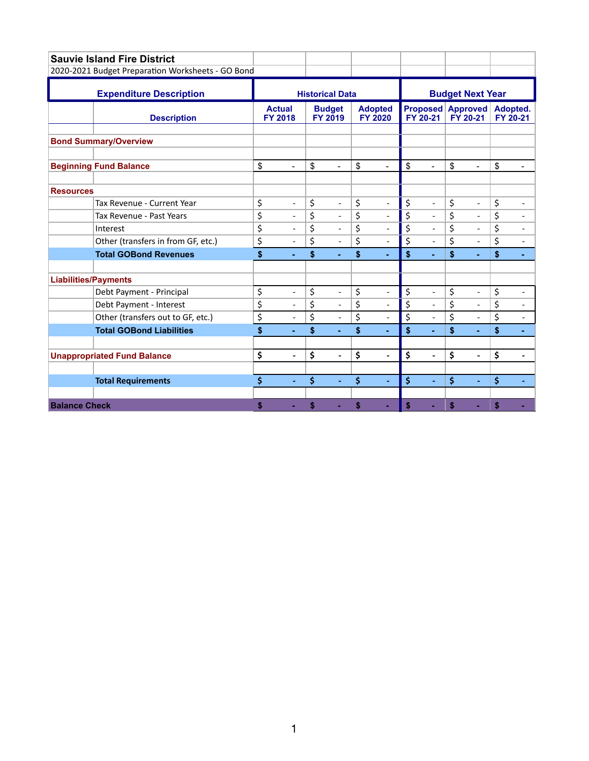<span id="page-3-0"></span>

|                             | <b>Sauvie Island Fire District</b>                |                                 |                          |    |                                 |                                  |                          |    |                             |                             |                          |    |                          |  |
|-----------------------------|---------------------------------------------------|---------------------------------|--------------------------|----|---------------------------------|----------------------------------|--------------------------|----|-----------------------------|-----------------------------|--------------------------|----|--------------------------|--|
|                             | 2020-2021 Budget Preparation Worksheets - GO Bond |                                 |                          |    |                                 |                                  |                          |    |                             |                             |                          |    |                          |  |
|                             | <b>Expenditure Description</b>                    | <b>Historical Data</b>          |                          |    |                                 |                                  |                          |    | <b>Budget Next Year</b>     |                             |                          |    |                          |  |
|                             | <b>Description</b>                                | <b>Actual</b><br><b>FY 2018</b> |                          |    | <b>Budget</b><br><b>FY 2019</b> | <b>Adopted</b><br><b>FY 2020</b> |                          |    | <b>Proposed</b><br>FY 20-21 | <b>Approved</b><br>FY 20-21 |                          |    | Adopted.<br>FY 20-21     |  |
|                             | <b>Bond Summary/Overview</b>                      |                                 |                          |    |                                 |                                  |                          |    |                             |                             |                          |    |                          |  |
|                             | <b>Beginning Fund Balance</b>                     | \$                              | ÷                        | \$ | ÷                               | \$                               | $\blacksquare$           | \$ | $\blacksquare$              | \$                          |                          | \$ |                          |  |
| <b>Resources</b>            |                                                   |                                 |                          |    |                                 |                                  |                          |    |                             |                             |                          |    |                          |  |
|                             | Tax Revenue - Current Year                        | \$                              | $\overline{a}$           | \$ | $\overline{\phantom{0}}$        | \$                               | $\overline{a}$           | \$ | $\overline{a}$              | \$                          | $\overline{\phantom{0}}$ | \$ | $\overline{\phantom{0}}$ |  |
|                             | Tax Revenue - Past Years                          | \$                              | $\blacksquare$           | \$ | $\overline{\phantom{a}}$        | \$                               | $\overline{\phantom{0}}$ | \$ | $\blacksquare$              | \$                          | $\blacksquare$           | \$ | $\overline{\phantom{0}}$ |  |
|                             | Interest                                          | \$                              | $\overline{\phantom{m}}$ | \$ | $\qquad \qquad \blacksquare$    | \$                               | $\overline{\phantom{a}}$ | \$ | $\frac{1}{2}$               | \$                          | $\overline{\phantom{a}}$ | \$ | $\overline{\phantom{a}}$ |  |
|                             | Other (transfers in from GF, etc.)                | \$                              |                          | \$ | $\overline{a}$                  | \$                               | $\overline{a}$           | \$ | $\overline{a}$              | \$                          | $\blacksquare$           | \$ |                          |  |
|                             | <b>Total GOBond Revenues</b>                      | \$                              |                          | \$ | ä,                              | \$                               | ٠                        | \$ | ä,                          | \$                          | ÷.                       | \$ | ÷.                       |  |
| <b>Liabilities/Payments</b> |                                                   |                                 |                          |    |                                 |                                  |                          |    |                             |                             |                          |    |                          |  |
|                             | Debt Payment - Principal                          | \$                              | $\overline{\phantom{a}}$ | \$ | $\overline{\phantom{a}}$        | \$                               | $\overline{\phantom{a}}$ | \$ | $\blacksquare$              | \$                          | $\overline{\phantom{a}}$ | \$ | $\overline{\phantom{a}}$ |  |
|                             | Debt Payment - Interest                           | \$                              |                          | \$ | $\overline{a}$                  | \$                               | $\overline{a}$           | \$ | $\overline{a}$              | \$                          |                          | \$ | $\overline{\phantom{0}}$ |  |
|                             | Other (transfers out to GF, etc.)                 | \$                              | $\overline{a}$           | \$ | $\overline{\phantom{m}}$        | \$                               | $\overline{\phantom{a}}$ | \$ | $\overline{a}$              | $\overline{\xi}$            | $\overline{\phantom{a}}$ | \$ | $\overline{\phantom{a}}$ |  |
|                             | <b>Total GOBond Liabilities</b>                   | \$                              | ÷                        | \$ | ä,                              | \$                               | ٠                        | \$ | ä,                          | \$                          | ۰                        | \$ |                          |  |
|                             |                                                   |                                 |                          |    |                                 |                                  |                          |    |                             |                             |                          |    |                          |  |
|                             | <b>Unappropriated Fund Balance</b>                | \$                              | $\overline{a}$           | \$ | $\overline{\phantom{a}}$        | \$                               | $\overline{\phantom{a}}$ | \$ | $\overline{\phantom{a}}$    | \$                          | $\overline{\phantom{a}}$ | \$ | $\overline{\phantom{a}}$ |  |
|                             | <b>Total Requirements</b>                         | \$                              | $\blacksquare$           | \$ | $\blacksquare$                  | \$                               | $\blacksquare$           | \$ | $\blacksquare$              | \$                          | $\blacksquare$           | \$ | $\blacksquare$           |  |
| <b>Balance Check</b>        |                                                   | Ŝ                               |                          | \$ |                                 | \$                               | ×.                       | \$ |                             | \$                          |                          | \$ |                          |  |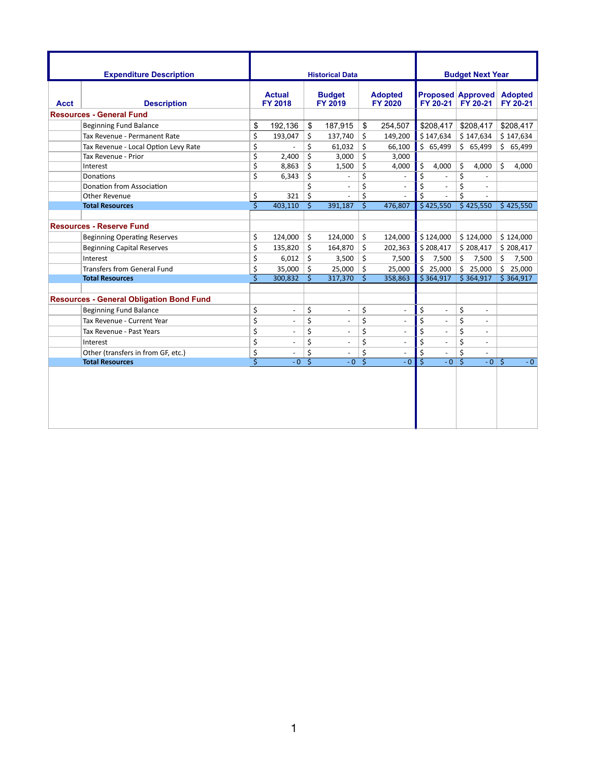<span id="page-4-0"></span>

|             | <b>Expenditure Description</b>                  |                                 |                          |                          | <b>Historical Data</b>   |                                  |                          |                                 |                          |                  | <b>Budget Next Year</b>              |    |                            |
|-------------|-------------------------------------------------|---------------------------------|--------------------------|--------------------------|--------------------------|----------------------------------|--------------------------|---------------------------------|--------------------------|------------------|--------------------------------------|----|----------------------------|
| <b>Acct</b> | <b>Description</b>                              | <b>Actual</b><br><b>FY 2018</b> |                          | <b>Budget</b><br>FY 2019 |                          | <b>Adopted</b><br><b>FY 2020</b> |                          |                                 | FY 20-21                 |                  | <b>Proposed Approved</b><br>FY 20-21 |    | <b>Adopted</b><br>FY 20-21 |
|             | <b>Resources - General Fund</b>                 |                                 |                          |                          |                          |                                  |                          |                                 |                          |                  |                                      |    |                            |
|             | <b>Beginning Fund Balance</b>                   | \$                              | 192,136                  | \$                       | 187,915                  | \$                               | 254,507                  |                                 | \$208,417                |                  | \$208,417                            |    | \$208,417                  |
|             | Tax Revenue - Permanent Rate                    | \$                              | 193,047                  | \$                       | 137,740                  | \$                               | 149,200                  |                                 | \$147,634                |                  | \$147,634                            |    | \$147,634                  |
|             | Tax Revenue - Local Option Levy Rate            | \$                              |                          | \$                       | 61.032                   | \$                               | 66,100                   |                                 | \$65,499                 |                  | \$65,499                             |    | \$65,499                   |
|             | Tax Revenue - Prior                             | \$                              | 2,400                    | \$                       | 3,000                    | \$                               | 3,000                    |                                 |                          |                  |                                      |    |                            |
|             | Interest                                        | \$                              | 8,863                    | \$                       | 1,500                    | \$                               | 4,000                    | \$                              | 4,000                    | \$               | 4,000                                | \$ | 4,000                      |
|             | <b>Donations</b>                                | \$                              | 6,343                    | \$                       | $\blacksquare$           | \$                               |                          | \$                              |                          | \$               | $\overline{a}$                       |    |                            |
|             | Donation from Association                       |                                 |                          | \$                       | $\blacksquare$           | \$                               | $\overline{\phantom{a}}$ | \$                              | $\sim$                   | \$               | $\blacksquare$                       |    |                            |
|             | Other Revenue                                   | \$                              | 321                      | \$                       | $\overline{\phantom{a}}$ | \$                               | $\overline{\phantom{a}}$ | Ś.                              | $\overline{\phantom{a}}$ | \$               | $\overline{\phantom{a}}$             |    |                            |
|             | <b>Total Resources</b>                          | ङ                               | 403,110                  | $\overline{\mathsf{s}}$  | 391,187                  | Ŝ                                | 476,807                  |                                 | \$425,550                |                  | \$425,550                            |    | \$425,550                  |
|             |                                                 |                                 |                          |                          |                          |                                  |                          |                                 |                          |                  |                                      |    |                            |
|             | <b>Resources - Reserve Fund</b>                 |                                 |                          |                          |                          |                                  |                          |                                 |                          |                  |                                      |    |                            |
|             | <b>Beginning Operating Reserves</b>             | \$                              | 124,000                  | \$                       | 124,000                  | \$                               | 124,000                  |                                 | \$124,000                |                  | \$124,000                            |    | \$124,000                  |
|             | <b>Beginning Capital Reserves</b>               | \$                              | 135,820                  | \$                       | 164,870                  | \$                               | 202,363                  |                                 | \$208,417                |                  | \$208,417                            |    | \$208,417                  |
|             | Interest                                        | \$                              | 6,012                    | \$                       | 3,500                    | \$                               | 7,500                    | \$                              | 7,500                    | \$               | 7,500                                | \$ | 7,500                      |
|             | <b>Transfers from General Fund</b>              | \$                              | 35,000                   | \$                       | 25,000                   | \$                               | 25,000                   |                                 | \$25,000                 | \$               | 25,000                               | \$ | 25,000                     |
|             | <b>Total Resources</b>                          | Ś                               | 300,832                  | Ś                        | 317,370                  | Ŝ.                               | 358,863                  |                                 | \$364,917                |                  | \$364,917                            |    | \$364,917                  |
|             |                                                 |                                 |                          |                          |                          |                                  |                          |                                 |                          |                  |                                      |    |                            |
|             | <b>Resources - General Obligation Bond Fund</b> |                                 |                          |                          |                          |                                  |                          |                                 |                          |                  |                                      |    |                            |
|             | <b>Beginning Fund Balance</b>                   | \$                              | $\overline{\phantom{a}}$ | \$                       | $\overline{\phantom{a}}$ | \$                               | $\overline{\phantom{0}}$ | \$                              | $\blacksquare$           | \$               | $\overline{a}$                       |    |                            |
|             | Tax Revenue - Current Year                      | \$                              | $\overline{\phantom{a}}$ | \$                       |                          | \$                               | $\overline{\phantom{0}}$ | \$                              | $\Box$                   | \$               | $\overline{\phantom{0}}$             |    |                            |
|             | Tax Revenue - Past Years                        | \$                              | $\overline{\phantom{a}}$ | \$                       |                          | \$                               | $\overline{a}$           | \$                              | $\blacksquare$           | \$               | $\blacksquare$                       |    |                            |
|             | Interest                                        | \$                              | $\overline{a}$           | \$                       |                          | \$                               | $\overline{\phantom{0}}$ | $\overline{\boldsymbol{\zeta}}$ | $\blacksquare$           | $\overline{\xi}$ | $\blacksquare$                       |    |                            |
|             | Other (transfers in from GF, etc.)              | \$                              |                          | \$                       |                          | \$                               |                          | \$                              |                          | \$               | $\overline{a}$                       |    |                            |
|             | <b>Total Resources</b>                          | Ś                               | $-0$                     | Ś                        | $-0$                     | Ś                                | $-0$                     | Ŝ                               | $-0$                     | Ś                | $-0$                                 | Ŝ. | $-0$                       |
|             |                                                 |                                 |                          |                          |                          |                                  |                          |                                 |                          |                  |                                      |    |                            |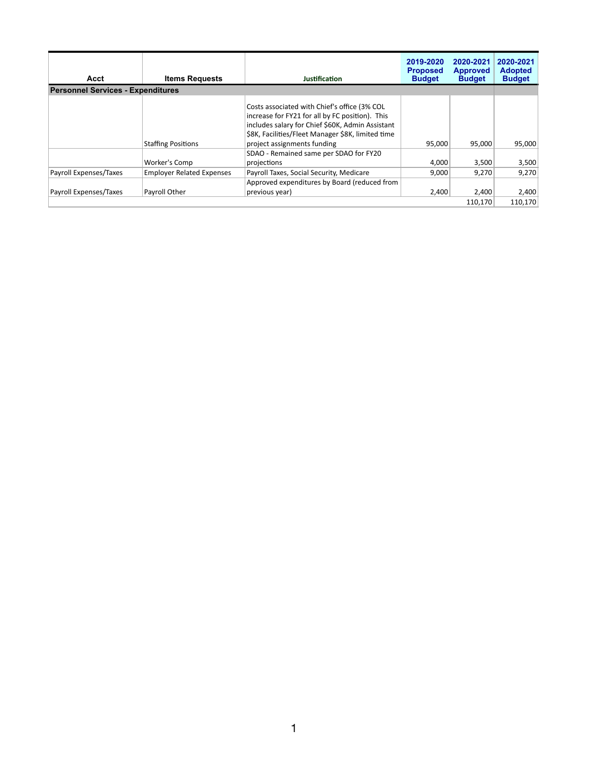<span id="page-5-0"></span>

| Acct                                     | <b>Items Requests</b>            | Justification                                                                                                                                                                                                                           | 2019-2020<br><b>Proposed</b><br><b>Budget</b> | 2020-2021<br><b>Approved</b><br><b>Budget</b> | 2020-2021<br><b>Adopted</b><br><b>Budget</b> |
|------------------------------------------|----------------------------------|-----------------------------------------------------------------------------------------------------------------------------------------------------------------------------------------------------------------------------------------|-----------------------------------------------|-----------------------------------------------|----------------------------------------------|
| <b>Personnel Services - Expenditures</b> |                                  |                                                                                                                                                                                                                                         |                                               |                                               |                                              |
|                                          | <b>Staffing Positions</b>        | Costs associated with Chief's office (3% COL<br>increase for FY21 for all by FC position). This<br>includes salary for Chief \$60K, Admin Assistant<br>\$8K, Facilities/Fleet Manager \$8K, limited time<br>project assignments funding | 95,000                                        | 95.000                                        | 95.000                                       |
|                                          | Worker's Comp                    | SDAO - Remained same per SDAO for FY20<br>projections                                                                                                                                                                                   | 4,000                                         | 3,500                                         | 3,500                                        |
| Payroll Expenses/Taxes                   | <b>Employer Related Expenses</b> | Payroll Taxes, Social Security, Medicare<br>Approved expenditures by Board (reduced from                                                                                                                                                | 9.000                                         | 9,270                                         | 9.270                                        |
| Payroll Expenses/Taxes                   | Payroll Other                    | previous year)                                                                                                                                                                                                                          | 2,400                                         | 2,400<br>110,170                              | 2,400<br>110.170                             |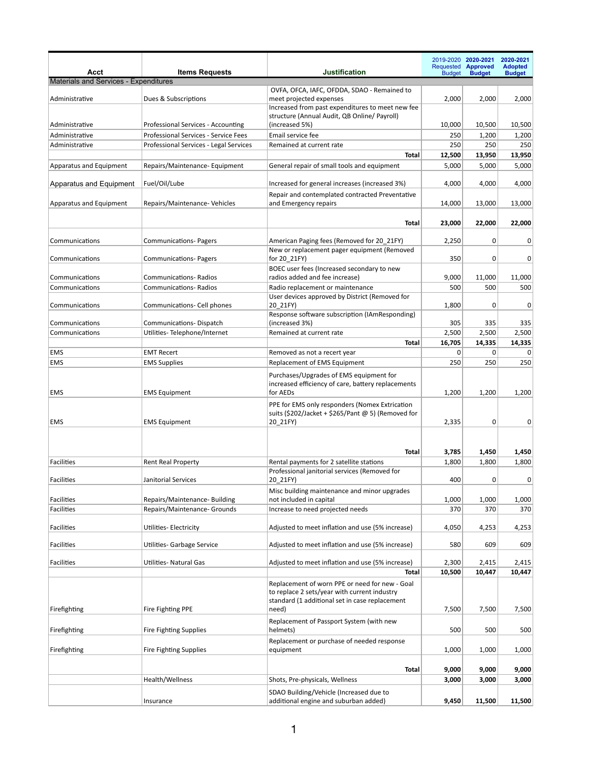<span id="page-6-0"></span>

|                                       |                                                                            |                                                                                                                  |                 | 2019-2020 2020-2021<br>Requested <b>Approved</b> | 2020-2021<br><b>Adopted</b> |
|---------------------------------------|----------------------------------------------------------------------------|------------------------------------------------------------------------------------------------------------------|-----------------|--------------------------------------------------|-----------------------------|
| Acct                                  | <b>Items Requests</b>                                                      | <b>Justification</b>                                                                                             | <b>Budget</b>   | <b>Budget</b>                                    | <b>Budget</b>               |
| Materials and Services - Expenditures |                                                                            |                                                                                                                  |                 |                                                  |                             |
| Administrative                        | Dues & Subscriptions                                                       | OVFA, OFCA, IAFC, OFDDA, SDAO - Remained to<br>meet projected expenses                                           | 2,000           | 2,000                                            | 2,000                       |
|                                       |                                                                            | Increased from past expenditures to meet new fee                                                                 |                 |                                                  |                             |
|                                       |                                                                            | structure (Annual Audit, QB Online/ Payroll)                                                                     |                 |                                                  |                             |
| Administrative<br>Administrative      | Professional Services - Accounting<br>Professional Services - Service Fees | (increased 5%)<br>Email service fee                                                                              | 10,000<br>250   | 10,500<br>1,200                                  | 10,500<br>1,200             |
| Administrative                        | Professional Services - Legal Services                                     | Remained at current rate                                                                                         | 250             | 250                                              | 250                         |
|                                       |                                                                            | Total                                                                                                            | 12,500          | 13,950                                           | 13,950                      |
| Apparatus and Equipment               | Repairs/Maintenance-Equipment                                              | General repair of small tools and equipment                                                                      | 5,000           | 5,000                                            | 5,000                       |
|                                       |                                                                            |                                                                                                                  |                 |                                                  |                             |
| Apparatus and Equipment               | Fuel/Oil/Lube                                                              | Increased for general increases (increased 3%)                                                                   | 4,000           | 4,000                                            | 4,000                       |
| Apparatus and Equipment               | Repairs/Maintenance- Vehicles                                              | Repair and contemplated contracted Preventative<br>and Emergency repairs                                         | 14,000          | 13,000                                           | 13,000                      |
|                                       |                                                                            |                                                                                                                  |                 |                                                  |                             |
|                                       |                                                                            | Total                                                                                                            | 23,000          | 22,000                                           | 22,000                      |
|                                       |                                                                            |                                                                                                                  |                 |                                                  |                             |
| Communications                        | <b>Communications-Pagers</b>                                               | American Paging fees (Removed for 20 21FY)                                                                       | 2,250           | 0                                                | 0                           |
| Communications                        | <b>Communications-Pagers</b>                                               | New or replacement pager equipment (Removed<br>for 20_21FY)                                                      | 350             | 0                                                | 0                           |
|                                       |                                                                            | BOEC user fees (Increased secondary to new                                                                       |                 |                                                  |                             |
| Communications                        | <b>Communications- Radios</b>                                              | radios added and fee increase)                                                                                   | 9,000           | 11,000                                           | 11,000                      |
| Communications                        | <b>Communications- Radios</b>                                              | Radio replacement or maintenance                                                                                 | 500             | 500                                              | 500                         |
|                                       |                                                                            | User devices approved by District (Removed for                                                                   |                 |                                                  |                             |
| Communications                        | Communications- Cell phones                                                | 20 21FY)<br>Response software subscription (IAmResponding)                                                       | 1,800           | 0                                                | 0                           |
| Communications                        | Communications-Dispatch                                                    | (increased 3%)                                                                                                   | 305             | 335                                              | 335                         |
| Communications                        | Utilities-Telephone/Internet                                               | Remained at current rate                                                                                         | 2,500           | 2,500                                            | 2,500                       |
|                                       |                                                                            | Total                                                                                                            | 16,705          | 14,335                                           | 14,335                      |
| <b>EMS</b>                            | <b>EMT Recert</b>                                                          | Removed as not a recert year                                                                                     | 0               | 0                                                | 0                           |
| EMS                                   | <b>EMS Supplies</b>                                                        | Replacement of EMS Equipment                                                                                     | 250             | 250                                              | 250                         |
| <b>EMS</b>                            | <b>EMS Equipment</b>                                                       | Purchases/Upgrades of EMS equipment for<br>increased efficiency of care, battery replacements<br>for AEDs        | 1,200           | 1,200                                            | 1,200                       |
| EMS                                   | <b>EMS Equipment</b>                                                       | PPE for EMS only responders (Nomex Extrication<br>suits (\$202/Jacket + \$265/Pant @ 5) (Removed for<br>20_21FY) | 2,335           | 0                                                | 0                           |
|                                       |                                                                            | Total                                                                                                            | 3,785           | 1,450                                            | 1,450                       |
| <b>Facilities</b>                     | <b>Rent Real Property</b>                                                  | Rental payments for 2 satellite stations                                                                         | 1,800           | 1,800                                            | 1,800                       |
|                                       |                                                                            | Professional janitorial services (Removed for                                                                    |                 |                                                  |                             |
| <b>Facilities</b>                     | Janitorial Services                                                        | 20_21FY)                                                                                                         | 400             | 0                                                | 0                           |
| Facilities                            | Repairs/Maintenance-Building                                               | Misc building maintenance and minor upgrades<br>not included in capital                                          | 1,000           | 1,000                                            | 1,000                       |
| Facilities                            | Repairs/Maintenance- Grounds                                               | Increase to need projected needs                                                                                 | 370             | 370                                              | 370                         |
|                                       |                                                                            |                                                                                                                  |                 |                                                  |                             |
| <b>Facilities</b>                     | Utilities- Electricity                                                     | Adjusted to meet inflation and use (5% increase)                                                                 | 4,050           | 4,253                                            | 4,253                       |
| Facilities                            | Utilities- Garbage Service                                                 | Adjusted to meet inflation and use (5% increase)                                                                 | 580             | 609                                              | 609                         |
|                                       |                                                                            |                                                                                                                  |                 |                                                  |                             |
| Facilities                            | Utilities- Natural Gas                                                     | Adjusted to meet inflation and use (5% increase)<br><b>Total</b>                                                 | 2,300<br>10,500 | 2,415<br>10,447                                  | 2,415<br>10,447             |
|                                       |                                                                            | Replacement of worn PPE or need for new - Goal                                                                   |                 |                                                  |                             |
|                                       |                                                                            | to replace 2 sets/year with current industry                                                                     |                 |                                                  |                             |
|                                       |                                                                            | standard (1 additional set in case replacement                                                                   |                 |                                                  |                             |
| Firefighting                          | Fire Fighting PPE                                                          | need)                                                                                                            | 7,500           | 7,500                                            | 7,500                       |
|                                       |                                                                            | Replacement of Passport System (with new<br>helmets)                                                             | 500             |                                                  |                             |
| Firefighting                          | Fire Fighting Supplies                                                     |                                                                                                                  |                 | 500                                              | 500                         |
| Firefighting                          | <b>Fire Fighting Supplies</b>                                              | Replacement or purchase of needed response<br>equipment                                                          | 1,000           | 1,000                                            | 1,000                       |
|                                       |                                                                            | Total                                                                                                            | 9,000           | 9,000                                            | 9,000                       |
|                                       | Health/Wellness                                                            | Shots, Pre-physicals, Wellness                                                                                   | 3,000           | 3,000                                            | 3,000                       |
|                                       |                                                                            | SDAO Building/Vehicle (Increased due to                                                                          |                 |                                                  |                             |
|                                       | Insurance                                                                  | additional engine and suburban added)                                                                            | 9,450           | 11,500                                           | 11,500                      |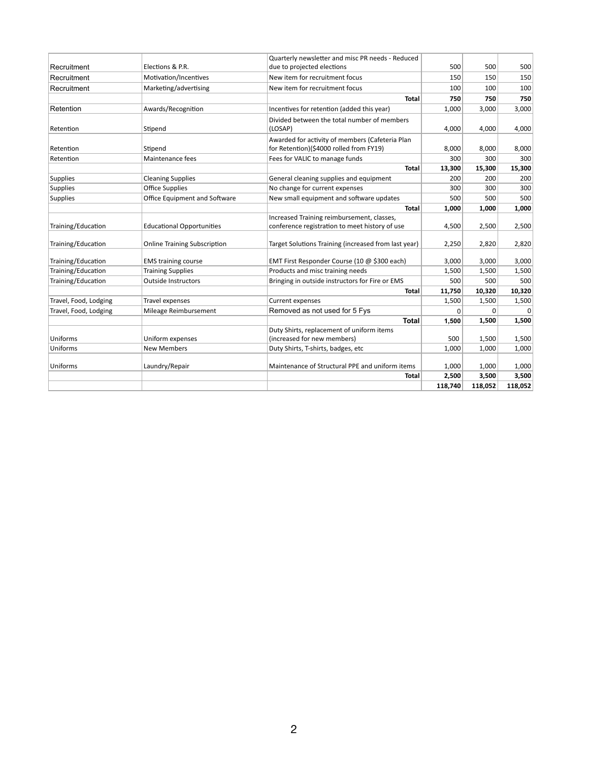|                       | Elections & P.R.                    | Quarterly newsletter and misc PR needs - Reduced                                           | 500     |         |         |
|-----------------------|-------------------------------------|--------------------------------------------------------------------------------------------|---------|---------|---------|
| Recruitment           |                                     | due to projected elections                                                                 |         | 500     | 500     |
| Recruitment           | Motivation/Incentives               | New item for recruitment focus                                                             | 150     | 150     | 150     |
| Recruitment           | Marketing/advertising               | New item for recruitment focus                                                             | 100     | 100     | 100     |
|                       |                                     | Total                                                                                      | 750     | 750     | 750     |
| Retention             | Awards/Recognition                  | Incentives for retention (added this year)                                                 | 1,000   | 3,000   | 3,000   |
| Retention             | Stipend                             | Divided between the total number of members<br>(LOSAP)                                     | 4,000   | 4,000   | 4,000   |
| Retention             | Stipend                             | Awarded for activity of members (Cafeteria Plan<br>for Retention)(\$4000 rolled from FY19) | 8,000   | 8,000   | 8,000   |
| Retention             | Maintenance fees                    | Fees for VALIC to manage funds                                                             | 300     | 300     | 300     |
|                       |                                     | <b>Total</b>                                                                               | 13,300  | 15,300  | 15,300  |
| <b>Supplies</b>       | <b>Cleaning Supplies</b>            | General cleaning supplies and equipment                                                    | 200     | 200     | 200     |
| <b>Supplies</b>       | <b>Office Supplies</b>              | No change for current expenses                                                             | 300     | 300     | 300     |
| <b>Supplies</b>       | Office Equipment and Software       | New small equipment and software updates                                                   | 500     | 500     | 500     |
|                       |                                     | <b>Total</b>                                                                               | 1,000   | 1,000   | 1,000   |
|                       |                                     | Increased Training reimbursement, classes,                                                 |         |         |         |
| Training/Education    | <b>Educational Opportunities</b>    | conference registration to meet history of use                                             | 4,500   | 2,500   | 2,500   |
| Training/Education    | <b>Online Training Subscription</b> | Target Solutions Training (increased from last year)                                       | 2,250   | 2,820   | 2,820   |
| Training/Education    | <b>EMS</b> training course          | EMT First Responder Course (10 @ \$300 each)                                               | 3,000   | 3,000   | 3,000   |
| Training/Education    | <b>Training Supplies</b>            | Products and misc training needs                                                           | 1,500   | 1,500   | 1,500   |
| Training/Education    | <b>Outside Instructors</b>          | Bringing in outside instructors for Fire or EMS                                            | 500     | 500     | 500     |
|                       |                                     | Total                                                                                      | 11,750  | 10,320  | 10,320  |
| Travel, Food, Lodging | Travel expenses                     | Current expenses                                                                           | 1,500   | 1,500   | 1,500   |
| Travel, Food, Lodging | Mileage Reimbursement               | Removed as not used for 5 Fys                                                              | 0       | 0       | n       |
|                       |                                     | <b>Total</b>                                                                               | 1,500   | 1,500   | 1,500   |
|                       |                                     | Duty Shirts, replacement of uniform items                                                  |         |         |         |
| Uniforms              | Uniform expenses                    | (increased for new members)                                                                | 500     | 1,500   | 1,500   |
| Uniforms              | <b>New Members</b>                  | Duty Shirts, T-shirts, badges, etc                                                         | 1,000   | 1,000   | 1,000   |
| Uniforms              | Laundry/Repair                      | Maintenance of Structural PPE and uniform items                                            | 1,000   | 1,000   | 1,000   |
|                       |                                     | Total                                                                                      | 2,500   | 3,500   | 3,500   |
|                       |                                     |                                                                                            | 118,740 | 118,052 | 118,052 |
|                       |                                     |                                                                                            |         |         |         |